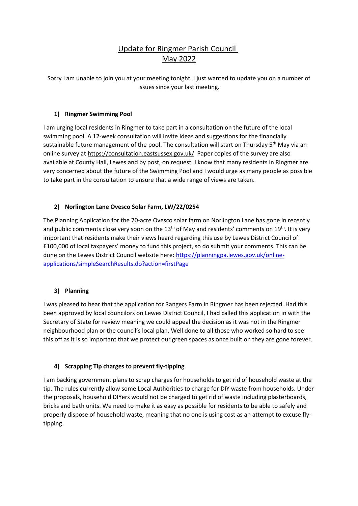# Update for Ringmer Parish Council May 2022

Sorry I am unable to join you at your meeting tonight. I just wanted to update you on a number of issues since your last meeting.

## **1) Ringmer Swimming Pool**

I am urging local residents in Ringmer to take part in a consultation on the future of the local swimming pool. A 12-week consultation will invite ideas and suggestions for the financially sustainable future management of the pool. The consultation will start on Thursday 5<sup>th</sup> May via an online survey a[t https://consultation.eastsussex.gov.uk/](https://protect-eu.mimecast.com/s/V_eUC3QL5hpmRKxoi9oFaF?domain=mariacaulfield.us3.list-manage.com) Paper copies of the survey are also available at County Hall, Lewes and by post, on request. I know that many residents in Ringmer are very concerned about the future of the Swimming Pool and I would urge as many people as possible to take part in the consultation to ensure that a wide range of views are taken.

# **2) Norlington Lane Ovesco Solar Farm, LW/22/0254**

The Planning Application for the 70-acre Ovesco solar farm on Norlington Lane has gone in recently and public comments close very soon on the  $13<sup>th</sup>$  of May and residents' comments on  $19<sup>th</sup>$ . It is very important that residents make their views heard regarding this use by Lewes District Council of £100,000 of local taxpayers' money to fund this project, so do submit your comments. This can be done on the Lewes District Council website here[: https://planningpa.lewes.gov.uk/online](https://planningpa.lewes.gov.uk/online-applications/simpleSearchResults.do?action=firstPage)[applications/simpleSearchResults.do?action=firstPage](https://planningpa.lewes.gov.uk/online-applications/simpleSearchResults.do?action=firstPage)

### **3) Planning**

I was pleased to hear that the application for Rangers Farm in Ringmer has been rejected. Had this been approved by local councilors on Lewes District Council, I had called this application in with the Secretary of State for review meaning we could appeal the decision as it was not in the Ringmer neighbourhood plan or the council's local plan. Well done to all those who worked so hard to see this off as it is so important that we protect our green spaces as once built on they are gone forever.

# **4) Scrapping Tip charges to prevent fly-tipping**

I am backing government plans to scrap charges for households to get rid of household waste at the tip. The rules currently allow some Local Authorities to charge for DIY waste from households. Under the proposals, household DIYers would not be charged to get rid of waste including plasterboards, bricks and bath units. We need to make it as easy as possible for residents to be able to safely and properly dispose of household waste, meaning that no one is using cost as an attempt to excuse flytipping.